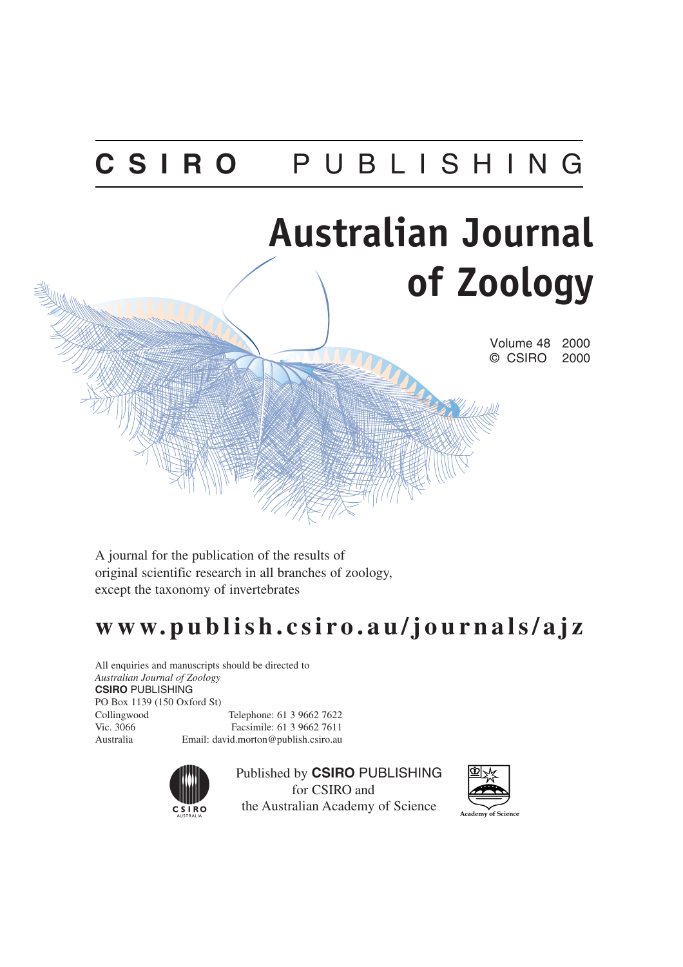## **CSIRO** PUBLISHING

# **Australian Journal of Zoology**

Volume 48 2000 © CSIRO 2000

A journal for the publication of the results of original scientific research in all branches of zoology, except the taxonomy of invertebrates

### **www.publish.csiro.au/journals/ajz**

All enquiries and manuscripts should be directed to *Australian Journal of Zoology* **CSIRO** PUBLISHING PO Box 1139 (150 Oxford St) Collingwood Telephone: 61 3 9662 7622 Vic. 3066 Facsimile: 61 3 9662 7611 Australia Email: david.morton@publish.csiro.au



Published by **CSIRO** PUBLISHING for CSIRO and the Australian Academy of Science



Academy of Science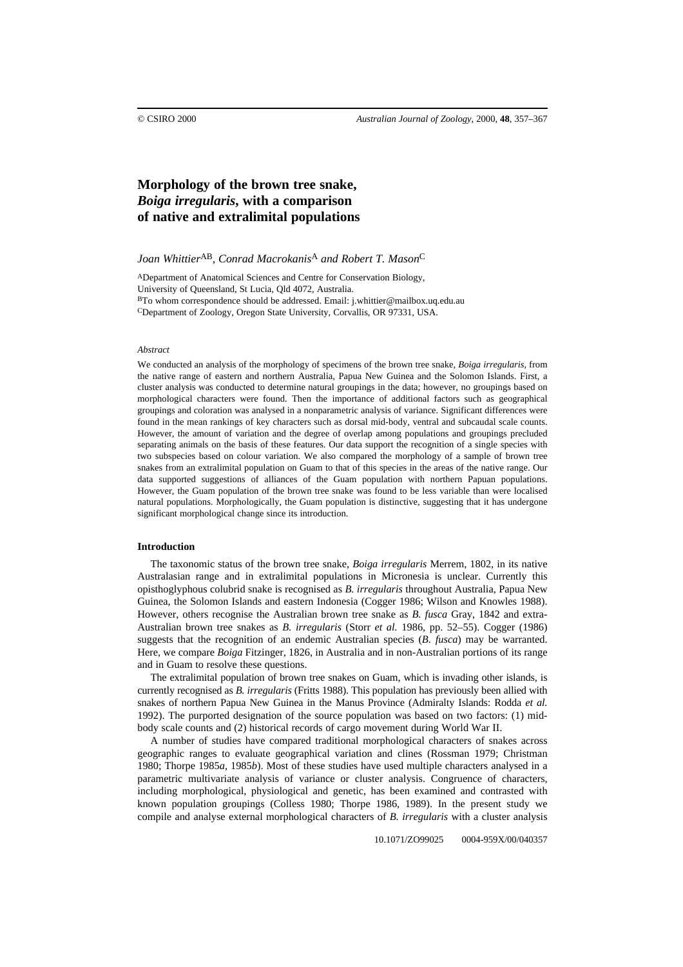#### **Morphology of the brown tree snake,**  *Boiga irregularis***, with a comparison of native and extralimital populations**

*Joan Whittier*AB*, Conrad Macrokanis*A *and Robert T. Mason*C

ADepartment of Anatomical Sciences and Centre for Conservation Biology, University of Queensland, St Lucia, Qld 4072, Australia. BTo whom correspondence should be addressed. Email: j.whittier@mailbox.uq.edu.au CDepartment of Zoology, Oregon State University, Corvallis, OR 97331, USA.

#### *Abstract*

We conducted an analysis of the morphology of specimens of the brown tree snake, *Boiga irregularis*, from the native range of eastern and northern Australia, Papua New Guinea and the Solomon Islands. First, a cluster analysis was conducted to determine natural groupings in the data; however, no groupings based on morphological characters were found. Then the importance of additional factors such as geographical groupings and coloration was analysed in a nonparametric analysis of variance. Significant differences were found in the mean rankings of key characters such as dorsal mid-body, ventral and subcaudal scale counts. However, the amount of variation and the degree of overlap among populations and groupings precluded separating animals on the basis of these features. Our data support the recognition of a single species with two subspecies based on colour variation. We also compared the morphology of a sample of brown tree snakes from an extralimital population on Guam to that of this species in the areas of the native range. Our data supported suggestions of alliances of the Guam population with northern Papuan populations. However, the Guam population of the brown tree snake was found to be less variable than were localised natural populations. Morphologically, the Guam population is distinctive, suggesting that it has undergone significant morphological change since its introduction.

#### **Introduction**

The taxonomic status of the brown tree snake, *Boiga irregularis* Merrem, 1802, in its native Australasian range and in extralimital populations in Micronesia is unclear. Currently this opisthoglyphous colubrid snake is recognised as *B. irregularis* throughout Australia, Papua New Guinea, the Solomon Islands and eastern Indonesia (Cogger 1986; Wilson and Knowles 1988). However, others recognise the Australian brown tree snake as *B. fusca* Gray, 1842 and extra-Australian brown tree snakes as *B. irregularis* (Storr *et al.* 1986, pp. 52–55). Cogger (1986) suggests that the recognition of an endemic Australian species (*B. fusca*) may be warranted. Here, we compare *Boiga* Fitzinger, 1826, in Australia and in non-Australian portions of its range and in Guam to resolve these questions.

The extralimital population of brown tree snakes on Guam, which is invading other islands, is currently recognised as *B. irregularis* (Fritts 1988)*.* This population has previously been allied with snakes of northern Papua New Guinea in the Manus Province (Admiralty Islands: Rodda *et al.* 1992). The purported designation of the source population was based on two factors: (1) midbody scale counts and (2) historical records of cargo movement during World War II.

A number of studies have compared traditional morphological characters of snakes across geographic ranges to evaluate geographical variation and clines (Rossman 1979; Christman 1980; Thorpe 1985*a*, 1985*b*). Most of these studies have used multiple characters analysed in a parametric multivariate analysis of variance or cluster analysis. Congruence of characters, including morphological, physiological and genetic, has been examined and contrasted with known population groupings (Colless 1980; Thorpe 1986, 1989). In the present study we compile and analyse external morphological characters of *B. irregularis* with a cluster analysis

10.1071/ZO99025 0004-959X/00/040357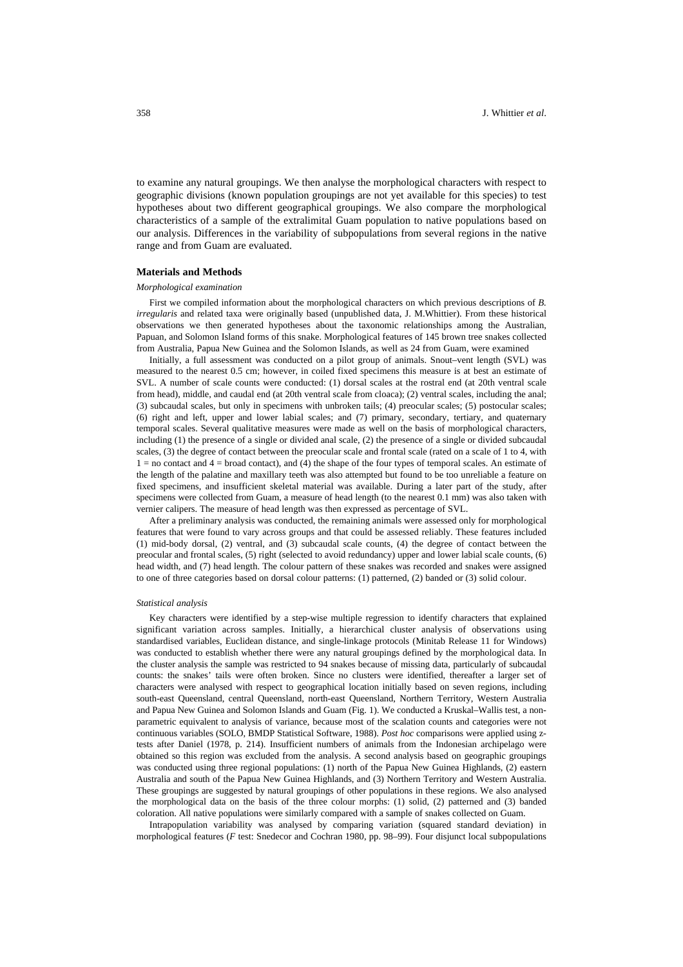to examine any natural groupings. We then analyse the morphological characters with respect to geographic divisions (known population groupings are not yet available for this species) to test hypotheses about two different geographical groupings. We also compare the morphological characteristics of a sample of the extralimital Guam population to native populations based on our analysis. Differences in the variability of subpopulations from several regions in the native range and from Guam are evaluated.

#### **Materials and Methods**

#### *Morphological examination*

First we compiled information about the morphological characters on which previous descriptions of *B. irregularis* and related taxa were originally based (unpublished data, J. M.Whittier). From these historical observations we then generated hypotheses about the taxonomic relationships among the Australian, Papuan, and Solomon Island forms of this snake. Morphological features of 145 brown tree snakes collected from Australia, Papua New Guinea and the Solomon Islands, as well as 24 from Guam, were examined

Initially, a full assessment was conducted on a pilot group of animals. Snout–vent length (SVL) was measured to the nearest 0.5 cm; however, in coiled fixed specimens this measure is at best an estimate of SVL. A number of scale counts were conducted: (1) dorsal scales at the rostral end (at 20th ventral scale from head), middle, and caudal end (at 20th ventral scale from cloaca); (2) ventral scales, including the anal; (3) subcaudal scales, but only in specimens with unbroken tails; (4) preocular scales; (5) postocular scales; (6) right and left, upper and lower labial scales; and (7) primary, secondary, tertiary, and quaternary temporal scales. Several qualitative measures were made as well on the basis of morphological characters, including (1) the presence of a single or divided anal scale, (2) the presence of a single or divided subcaudal scales, (3) the degree of contact between the preocular scale and frontal scale (rated on a scale of 1 to 4, with  $1 =$  no contact and  $4 =$  broad contact), and (4) the shape of the four types of temporal scales. An estimate of the length of the palatine and maxillary teeth was also attempted but found to be too unreliable a feature on fixed specimens, and insufficient skeletal material was available. During a later part of the study, after specimens were collected from Guam, a measure of head length (to the nearest 0.1 mm) was also taken with vernier calipers. The measure of head length was then expressed as percentage of SVL.

After a preliminary analysis was conducted, the remaining animals were assessed only for morphological features that were found to vary across groups and that could be assessed reliably. These features included (1) mid-body dorsal, (2) ventral, and (3) subcaudal scale counts, (4) the degree of contact between the preocular and frontal scales, (5) right (selected to avoid redundancy) upper and lower labial scale counts, (6) head width, and (7) head length. The colour pattern of these snakes was recorded and snakes were assigned to one of three categories based on dorsal colour patterns: (1) patterned, (2) banded or (3) solid colour.

#### *Statistical analysis*

Key characters were identified by a step-wise multiple regression to identify characters that explained significant variation across samples. Initially, a hierarchical cluster analysis of observations using standardised variables, Euclidean distance, and single-linkage protocols (Minitab Release 11 for Windows) was conducted to establish whether there were any natural groupings defined by the morphological data. In the cluster analysis the sample was restricted to 94 snakes because of missing data, particularly of subcaudal counts: the snakes' tails were often broken. Since no clusters were identified, thereafter a larger set of characters were analysed with respect to geographical location initially based on seven regions, including south-east Queensland, central Queensland, north-east Queensland, Northern Territory, Western Australia and Papua New Guinea and Solomon Islands and Guam (Fig. 1). We conducted a Kruskal–Wallis test, a nonparametric equivalent to analysis of variance, because most of the scalation counts and categories were not continuous variables (SOLO, BMDP Statistical Software, 1988). *Post hoc* comparisons were applied using ztests after Daniel (1978, p. 214). Insufficient numbers of animals from the Indonesian archipelago were obtained so this region was excluded from the analysis. A second analysis based on geographic groupings was conducted using three regional populations: (1) north of the Papua New Guinea Highlands, (2) eastern Australia and south of the Papua New Guinea Highlands, and (3) Northern Territory and Western Australia. These groupings are suggested by natural groupings of other populations in these regions. We also analysed the morphological data on the basis of the three colour morphs: (1) solid, (2) patterned and (3) banded coloration. All native populations were similarly compared with a sample of snakes collected on Guam.

Intrapopulation variability was analysed by comparing variation (squared standard deviation) in morphological features (*F* test: Snedecor and Cochran 1980, pp. 98–99). Four disjunct local subpopulations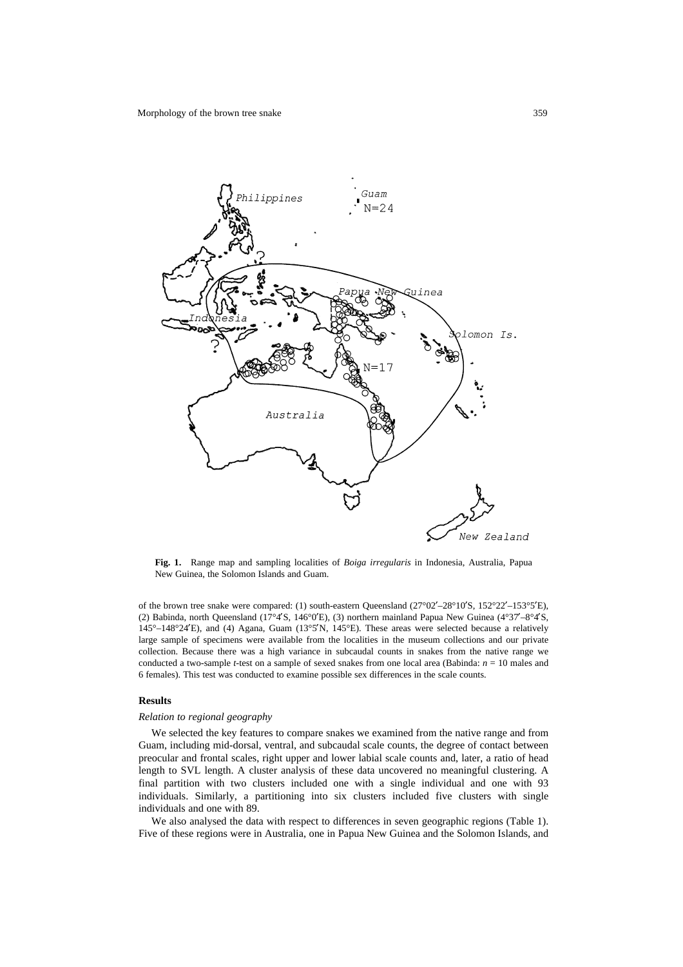

**Fig. 1.** Range map and sampling localities of *Boiga irregularis* in Indonesia, Australia, Papua New Guinea, the Solomon Islands and Guam.

of the brown tree snake were compared: (1) south-eastern Queensland ( $27^{\circ}02' - 28^{\circ}10'$ S,  $152^{\circ}22' - 153^{\circ}5'$ E), (2) Babinda, north Queensland (17°4′S, 146°0′E), (3) northern mainland Papua New Guinea (4°37′–8°4′S, 145°–148°24¢E), and (4) Agana, Guam (13°5¢N, 145°E). These areas were selected because a relatively large sample of specimens were available from the localities in the museum collections and our private collection. Because there was a high variance in subcaudal counts in snakes from the native range we conducted a two-sample *t*-test on a sample of sexed snakes from one local area (Babinda: *n* = 10 males and 6 females). This test was conducted to examine possible sex differences in the scale counts.

#### **Results**

#### *Relation to regional geography*

We selected the key features to compare snakes we examined from the native range and from Guam, including mid-dorsal, ventral, and subcaudal scale counts, the degree of contact between preocular and frontal scales, right upper and lower labial scale counts and, later, a ratio of head length to SVL length. A cluster analysis of these data uncovered no meaningful clustering. A final partition with two clusters included one with a single individual and one with 93 individuals. Similarly, a partitioning into six clusters included five clusters with single individuals and one with 89.

We also analysed the data with respect to differences in seven geographic regions (Table 1). Five of these regions were in Australia, one in Papua New Guinea and the Solomon Islands, and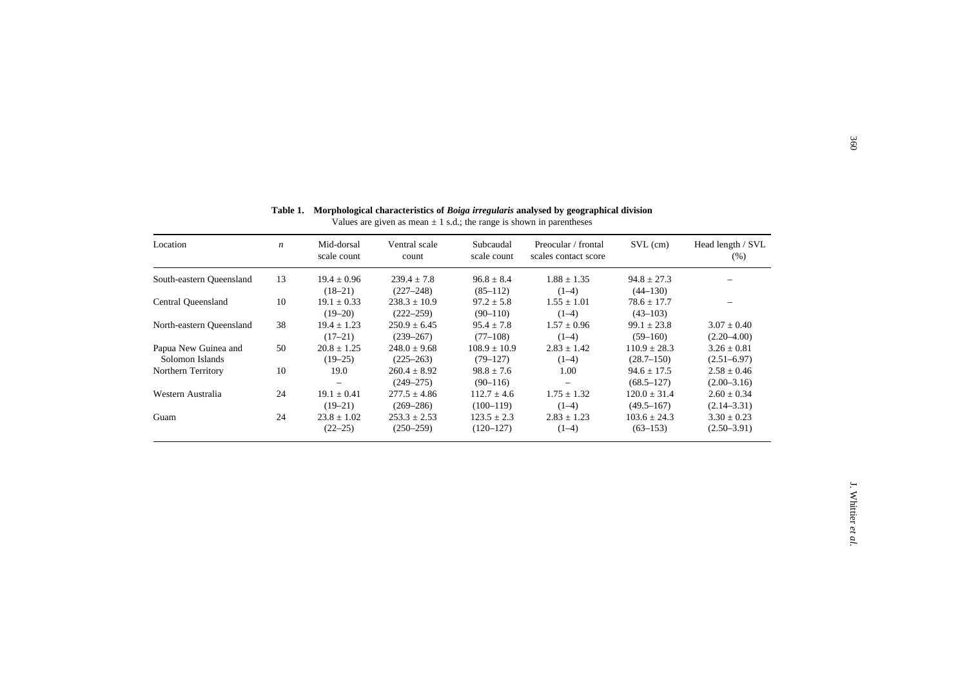| Location                 | $\boldsymbol{n}$ | Mid-dorsal<br>scale count | Ventral scale<br>count | Subcaudal<br>scale count | Preocular / frontal<br>scales contact score | $SVL$ (cm)       | Head length / SVL<br>(% ) |
|--------------------------|------------------|---------------------------|------------------------|--------------------------|---------------------------------------------|------------------|---------------------------|
| South-eastern Oueensland | 13               | $19.4 \pm 0.96$           | $239.4 \pm 7.8$        | $96.8 \pm 8.4$           | $1.88 \pm 1.35$                             | $94.8 \pm 27.3$  |                           |
|                          |                  | $(18-21)$                 | $(227 - 248)$          | $(85-112)$               | $(1-4)$                                     | $(44-130)$       |                           |
| Central Oueensland       | 10               | $19.1 \pm 0.33$           | $238.3 + 10.9$         | $97.2 + 5.8$             | $1.55 + 1.01$                               | $78.6 + 17.7$    |                           |
|                          |                  | $(19-20)$                 | $(222 - 259)$          | $(90 - 110)$             | $(1-4)$                                     | $(43 - 103)$     |                           |
| North-eastern Queensland | 38               | $19.4 \pm 1.23$           | $250.9 \pm 6.45$       | $95.4 \pm 7.8$           | $1.57 \pm 0.96$                             | $99.1 \pm 23.8$  | $3.07 \pm 0.40$           |
|                          |                  | $(17-21)$                 | $(239 - 267)$          | $(77-108)$               | $(1-4)$                                     | $(59-160)$       | $(2.20 - 4.00)$           |
| Papua New Guinea and     | 50               | $20.8 \pm 1.25$           | $248.0 \pm 9.68$       | $108.9 \pm 10.9$         | $2.83 \pm 1.42$                             | $110.9 \pm 28.3$ | $3.26 \pm 0.81$           |
| Solomon Islands          |                  | $(19-25)$                 | $(225 - 263)$          | $(79-127)$               | $(1-4)$                                     | $(28.7 - 150)$   | $(2.51 - 6.97)$           |
| Northern Territory       | 10               | 19.0                      | $260.4 \pm 8.92$       | $98.8 + 7.6$             | 1.00                                        | $94.6 \pm 17.5$  | $2.58 \pm 0.46$           |
|                          |                  |                           | $(249 - 275)$          | $(90-116)$               |                                             | $(68.5 - 127)$   | $(2.00-3.16)$             |
| Western Australia        | 24               | $19.1 \pm 0.41$           | $277.5 \pm 4.86$       | $112.7 \pm 4.6$          | $1.75 \pm 1.32$                             | $120.0 \pm 31.4$ | $2.60 \pm 0.34$           |
|                          |                  | $(19-21)$                 | $(269 - 286)$          | $(100-119)$              | $(1-4)$                                     | $(49.5 - 167)$   | $(2.14 - 3.31)$           |
| Guam                     | 24               | $23.8 \pm 1.02$           | $253.3 \pm 2.53$       | $123.5 \pm 2.3$          | $2.83 \pm 1.23$                             | $103.6 \pm 24.3$ | $3.30 \pm 0.23$           |
|                          |                  | $(22 - 25)$               | $(250 - 259)$          | $(120-127)$              | $(1-4)$                                     | $(63 - 153)$     | $(2.50-3.91)$             |

#### **Table 1. Morphological characteristics of** *Boiga irregularis* **analysed by geographical division**

Values are given as mean  $\pm 1$  s.d.; the range is shown in parentheses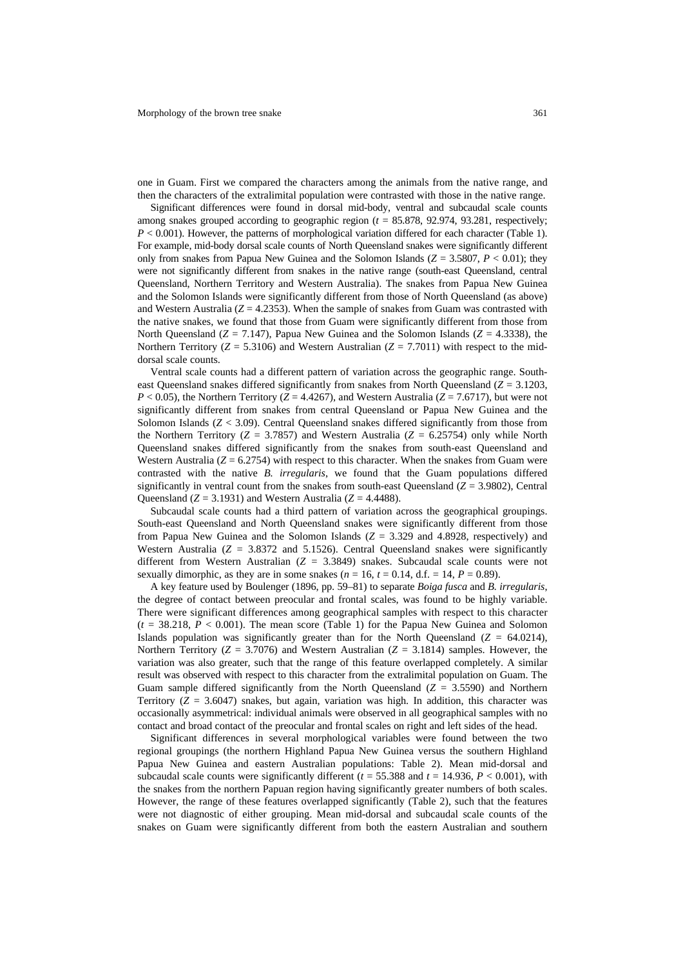one in Guam. First we compared the characters among the animals from the native range, and then the characters of the extralimital population were contrasted with those in the native range.

Significant differences were found in dorsal mid-body, ventral and subcaudal scale counts among snakes grouped according to geographic region (*t* = 85.878, 92.974, 93.281, respectively;  $P < 0.001$ ). However, the patterns of morphological variation differed for each character (Table 1). For example, mid-body dorsal scale counts of North Queensland snakes were significantly different only from snakes from Papua New Guinea and the Solomon Islands (*Z* = 3.5807, *P* < 0.01); they were not significantly different from snakes in the native range (south-east Queensland, central Queensland, Northern Territory and Western Australia). The snakes from Papua New Guinea and the Solomon Islands were significantly different from those of North Queensland (as above) and Western Australia  $(Z = 4.2353)$ . When the sample of snakes from Guam was contrasted with the native snakes, we found that those from Guam were significantly different from those from North Queensland  $(Z = 7.147)$ , Papua New Guinea and the Solomon Islands  $(Z = 4.3338)$ , the Northern Territory ( $Z = 5.3106$ ) and Western Australian ( $Z = 7.7011$ ) with respect to the middorsal scale counts.

Ventral scale counts had a different pattern of variation across the geographic range. Southeast Queensland snakes differed significantly from snakes from North Queensland (*Z* = 3.1203,  $P < 0.05$ ), the Northern Territory ( $Z = 4.4267$ ), and Western Australia ( $Z = 7.6717$ ), but were not significantly different from snakes from central Queensland or Papua New Guinea and the Solomon Islands  $(Z < 3.09)$ . Central Queensland snakes differed significantly from those from the Northern Territory ( $Z = 3.7857$ ) and Western Australia ( $Z = 6.25754$ ) only while North Queensland snakes differed significantly from the snakes from south-east Queensland and Western Australia  $(Z = 6.2754)$  with respect to this character. When the snakes from Guam were contrasted with the native *B. irregularis*, we found that the Guam populations differed significantly in ventral count from the snakes from south-east Queensland  $(Z = 3.9802)$ . Central Queensland ( $Z = 3.1931$ ) and Western Australia ( $Z = 4.4488$ ).

Subcaudal scale counts had a third pattern of variation across the geographical groupings. South-east Queensland and North Queensland snakes were significantly different from those from Papua New Guinea and the Solomon Islands  $(Z = 3.329$  and 4.8928, respectively) and Western Australia  $(Z = 3.8372$  and 5.1526). Central Queensland snakes were significantly different from Western Australian  $(Z = 3.3849)$  snakes. Subcaudal scale counts were not sexually dimorphic, as they are in some snakes ( $n = 16$ ,  $t = 0.14$ , d.f. = 14,  $P = 0.89$ ).

A key feature used by Boulenger (1896, pp. 59–81) to separate *Boiga fusca* and *B. irregularis*, the degree of contact between preocular and frontal scales, was found to be highly variable. There were significant differences among geographical samples with respect to this character  $(t = 38.218, P < 0.001)$ . The mean score (Table 1) for the Papua New Guinea and Solomon Islands population was significantly greater than for the North Queensland  $(Z = 64.0214)$ , Northern Territory (*Z* = 3.7076) and Western Australian (*Z* = 3.1814) samples. However, the variation was also greater, such that the range of this feature overlapped completely. A similar result was observed with respect to this character from the extralimital population on Guam. The Guam sample differed significantly from the North Queensland (*Z* = 3.5590) and Northern Territory  $(Z = 3.6047)$  snakes, but again, variation was high. In addition, this character was occasionally asymmetrical: individual animals were observed in all geographical samples with no contact and broad contact of the preocular and frontal scales on right and left sides of the head.

Significant differences in several morphological variables were found between the two regional groupings (the northern Highland Papua New Guinea versus the southern Highland Papua New Guinea and eastern Australian populations: Table 2). Mean mid-dorsal and subcaudal scale counts were significantly different ( $t = 55.388$  and  $t = 14.936$ ,  $P < 0.001$ ), with the snakes from the northern Papuan region having significantly greater numbers of both scales. However, the range of these features overlapped significantly (Table 2), such that the features were not diagnostic of either grouping. Mean mid-dorsal and subcaudal scale counts of the snakes on Guam were significantly different from both the eastern Australian and southern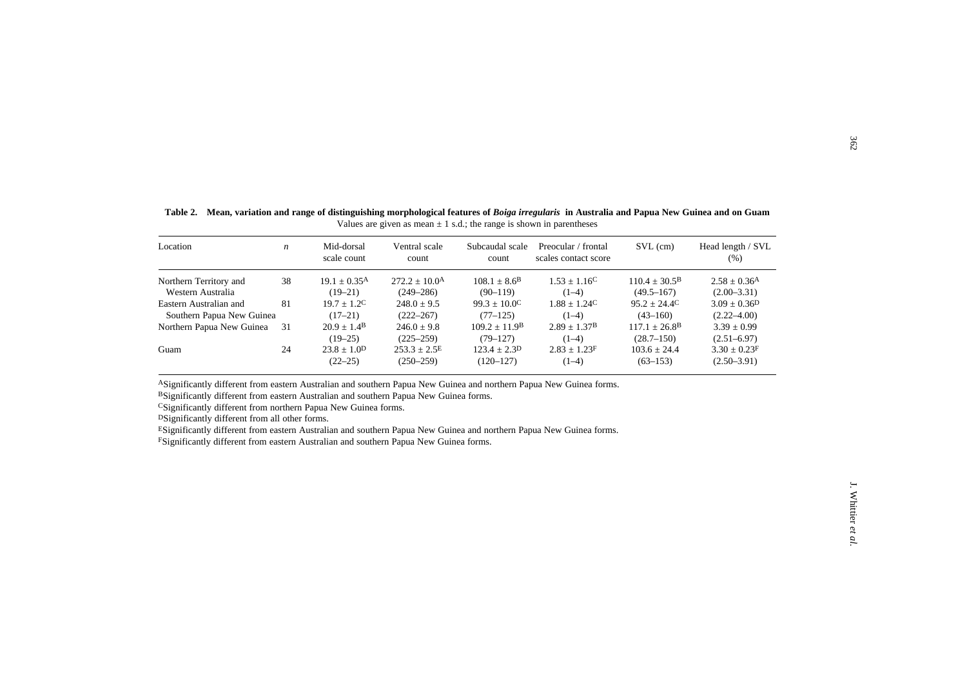| 38<br>$19.1 \pm 0.35$ <sup>A</sup><br>$1.53 \pm 1.16$ <sup>C</sup><br>$110.4 \pm 30.5^{\circ}$<br>$272.2 \pm 10.04$<br>$108.1 \pm 8.6^{\rm B}$<br>Western Australia<br>$(19-21)$<br>$(90-119)$<br>$(1-4)$<br>$(249 - 286)$<br>$(49.5 - 167)$<br>81<br>$19.7 \pm 1.2^C$<br>$99.3 \pm 10.0^{\circ}$<br>$1.88 \pm 1.24^{\circ}$<br>$95.2 \pm 24.4^{\circ}$<br>$248.0 \pm 9.5$<br>Southern Papua New Guinea<br>$(17-21)$<br>$(222 - 267)$<br>$(1-4)$<br>$(43 - 160)$<br>$(77-125)$<br>$20.9 \pm 1.4$ <sup>B</sup><br>$109.2 \pm 11.9$ <sup>B</sup><br>$2.89 \pm 1.37B$<br>$117.1 \pm 26.8$ <sup>B</sup><br>31<br>$246.0 \pm 9.8$<br>$(19-25)$<br>$(1-4)$<br>$(28.7 - 150)$<br>$(225 - 259)$<br>$(79-127)$<br>24<br>$23.8 \pm 1.0$ <sup>D</sup><br>$253.3 \pm 2.5^E$<br>$123.4 \pm 2.3$ <sup>D</sup><br>$2.83 \pm 1.23$ F<br>$103.6 \pm 24.4$<br>$(22 - 25)$<br>$(250 - 259)$<br>$(120-127)$<br>$(1-4)$<br>$(63-153)$ | $2.58 \pm 0.36$ <sup>A</sup><br>$(2.00-3.31)$<br>$3.09 \pm 0.36$ <sup>D</sup><br>$(2.22 - 4.00)$<br>$3.39 \pm 0.99$<br>$(2.51 - 6.97)$<br>$3.30 \pm 0.23$ F<br>$(2.50 - 3.91)$ |  | ESignificantly different from eastern Australian and southern Papua New Guinea and northern Papua New Guinea forms. | Location               | $\boldsymbol{n}$ | Mid-dorsal<br>scale count | Ventral scale<br>count | Subcaudal scale<br>count | Preocular / frontal<br>scales contact score | $SVL$ (cm) | Head length / SVL<br>(% ) |
|------------------------------------------------------------------------------------------------------------------------------------------------------------------------------------------------------------------------------------------------------------------------------------------------------------------------------------------------------------------------------------------------------------------------------------------------------------------------------------------------------------------------------------------------------------------------------------------------------------------------------------------------------------------------------------------------------------------------------------------------------------------------------------------------------------------------------------------------------------------------------------------------------------------|--------------------------------------------------------------------------------------------------------------------------------------------------------------------------------|--|---------------------------------------------------------------------------------------------------------------------|------------------------|------------------|---------------------------|------------------------|--------------------------|---------------------------------------------|------------|---------------------------|
| Eastern Australian and<br>ASignificantly different from eastern Australian and southern Papua New Guinea and northern Papua New Guinea forms.<br>BSignificantly different from eastern Australian and southern Papua New Guinea forms.<br>CSignificantly different from northern Papua New Guinea forms.<br>DSignificantly different from all other forms.                                                                                                                                                                                                                                                                                                                                                                                                                                                                                                                                                       |                                                                                                                                                                                |  |                                                                                                                     | Northern Territory and |                  |                           |                        |                          |                                             |            |                           |
| Northern Papua New Guinea<br>Guam                                                                                                                                                                                                                                                                                                                                                                                                                                                                                                                                                                                                                                                                                                                                                                                                                                                                                |                                                                                                                                                                                |  |                                                                                                                     |                        |                  |                           |                        |                          |                                             |            |                           |
|                                                                                                                                                                                                                                                                                                                                                                                                                                                                                                                                                                                                                                                                                                                                                                                                                                                                                                                  |                                                                                                                                                                                |  |                                                                                                                     |                        |                  |                           |                        |                          |                                             |            |                           |
|                                                                                                                                                                                                                                                                                                                                                                                                                                                                                                                                                                                                                                                                                                                                                                                                                                                                                                                  |                                                                                                                                                                                |  |                                                                                                                     |                        |                  |                           |                        |                          |                                             |            |                           |
|                                                                                                                                                                                                                                                                                                                                                                                                                                                                                                                                                                                                                                                                                                                                                                                                                                                                                                                  |                                                                                                                                                                                |  |                                                                                                                     |                        |                  |                           |                        |                          |                                             |            |                           |
|                                                                                                                                                                                                                                                                                                                                                                                                                                                                                                                                                                                                                                                                                                                                                                                                                                                                                                                  |                                                                                                                                                                                |  |                                                                                                                     |                        |                  |                           |                        |                          |                                             |            |                           |
|                                                                                                                                                                                                                                                                                                                                                                                                                                                                                                                                                                                                                                                                                                                                                                                                                                                                                                                  |                                                                                                                                                                                |  |                                                                                                                     |                        |                  |                           |                        |                          |                                             |            |                           |
|                                                                                                                                                                                                                                                                                                                                                                                                                                                                                                                                                                                                                                                                                                                                                                                                                                                                                                                  |                                                                                                                                                                                |  |                                                                                                                     |                        |                  |                           |                        |                          |                                             |            |                           |
| <sup>F</sup> Significantly different from eastern Australian and southern Papua New Guinea forms.                                                                                                                                                                                                                                                                                                                                                                                                                                                                                                                                                                                                                                                                                                                                                                                                                |                                                                                                                                                                                |  |                                                                                                                     |                        |                  |                           |                        |                          |                                             |            |                           |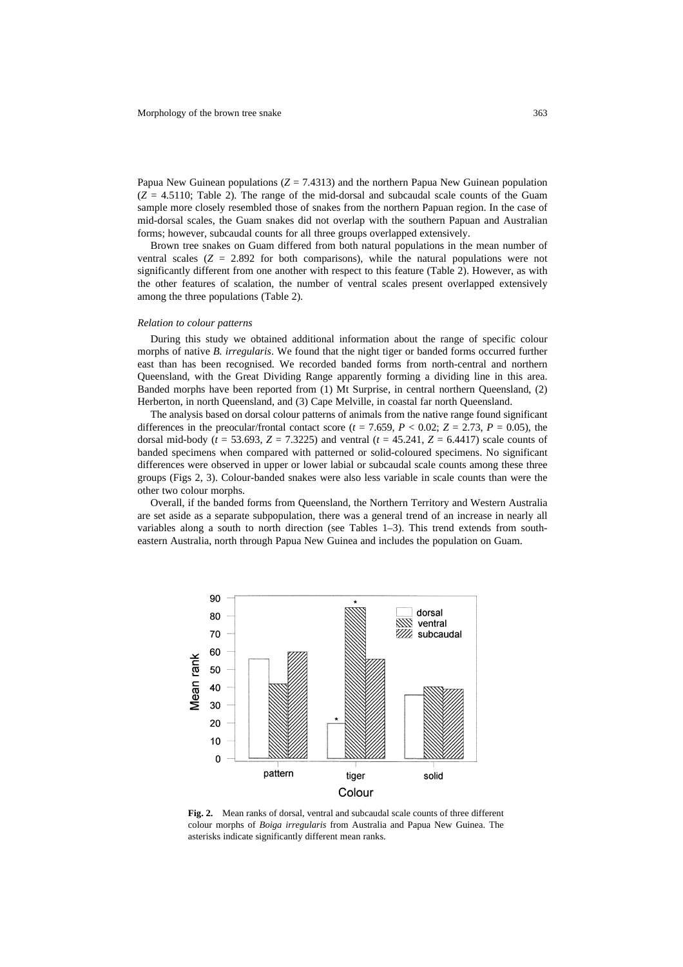Papua New Guinean populations  $(Z = 7.4313)$  and the northern Papua New Guinean population  $(Z = 4.5110$ ; Table 2). The range of the mid-dorsal and subcaudal scale counts of the Guam sample more closely resembled those of snakes from the northern Papuan region. In the case of mid-dorsal scales, the Guam snakes did not overlap with the southern Papuan and Australian forms; however, subcaudal counts for all three groups overlapped extensively.

Brown tree snakes on Guam differed from both natural populations in the mean number of ventral scales  $(Z = 2.892)$  for both comparisons), while the natural populations were not significantly different from one another with respect to this feature (Table 2). However, as with the other features of scalation, the number of ventral scales present overlapped extensively among the three populations (Table 2).

#### *Relation to colour patterns*

During this study we obtained additional information about the range of specific colour morphs of native *B. irregularis*. We found that the night tiger or banded forms occurred further east than has been recognised. We recorded banded forms from north-central and northern Queensland, with the Great Dividing Range apparently forming a dividing line in this area. Banded morphs have been reported from (1) Mt Surprise, in central northern Queensland, (2) Herberton, in north Queensland, and (3) Cape Melville, in coastal far north Queensland.

The analysis based on dorsal colour patterns of animals from the native range found significant differences in the preocular/frontal contact score ( $t = 7.659$ ,  $P < 0.02$ ;  $Z = 2.73$ ,  $P = 0.05$ ), the dorsal mid-body ( $t = 53.693$ ,  $Z = 7.3225$ ) and ventral ( $t = 45.241$ ,  $Z = 6.4417$ ) scale counts of banded specimens when compared with patterned or solid-coloured specimens. No significant differences were observed in upper or lower labial or subcaudal scale counts among these three groups (Figs 2, 3). Colour-banded snakes were also less variable in scale counts than were the other two colour morphs.

Overall, if the banded forms from Queensland, the Northern Territory and Western Australia are set aside as a separate subpopulation, there was a general trend of an increase in nearly all variables along a south to north direction (see Tables 1–3). This trend extends from southeastern Australia, north through Papua New Guinea and includes the population on Guam.



**Fig. 2.** Mean ranks of dorsal, ventral and subcaudal scale counts of three different colour morphs of *Boiga irregularis* from Australia and Papua New Guinea. The asterisks indicate significantly different mean ranks.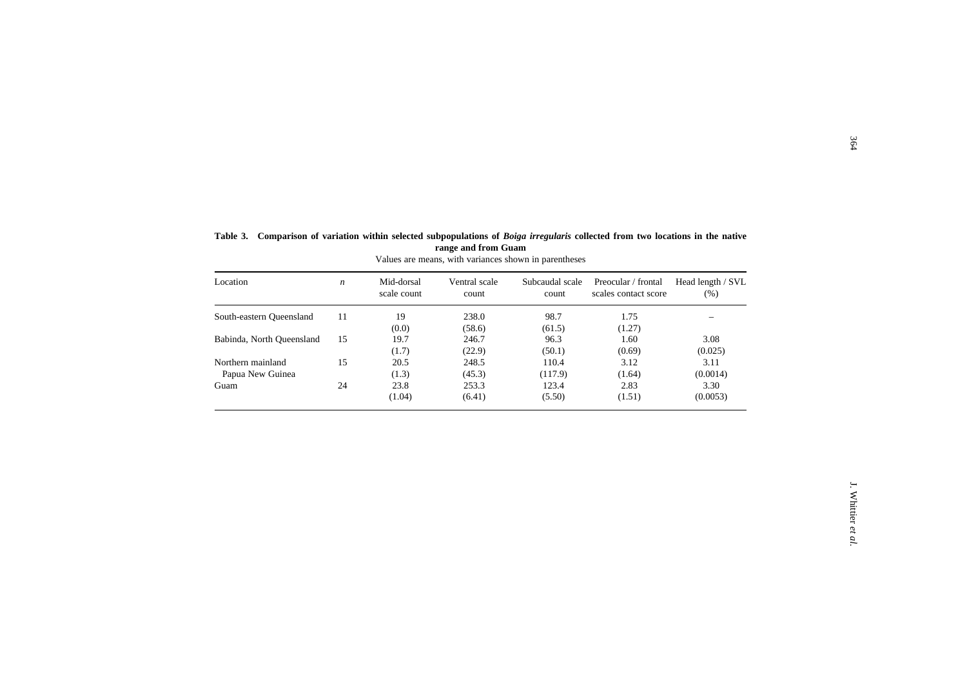| Location                  | $\boldsymbol{n}$ | Mid-dorsal<br>scale count | Ventral scale<br>count | Subcaudal scale<br>count | Preocular / frontal<br>scales contact score | Head length / SVL<br>(% ) |
|---------------------------|------------------|---------------------------|------------------------|--------------------------|---------------------------------------------|---------------------------|
| South-eastern Queensland  | 11               | 19                        | 238.0                  | 98.7                     | 1.75                                        |                           |
|                           |                  | (0.0)                     | (58.6)                 | (61.5)                   | (1.27)                                      |                           |
| Babinda, North Queensland | 15               | 19.7                      | 246.7                  | 96.3                     | 1.60                                        | 3.08                      |
|                           |                  | (1.7)                     | (22.9)                 | (50.1)                   | (0.69)                                      | (0.025)                   |
| Northern mainland         | 15               | 20.5                      | 248.5                  | 110.4                    | 3.12                                        | 3.11                      |
| Papua New Guinea          |                  | (1.3)                     | (45.3)                 | (117.9)                  | (1.64)                                      | (0.0014)                  |
| Guam                      | 24               | 23.8                      | 253.3                  | 123.4                    | 2.83                                        | 3.30                      |
|                           |                  | (1.04)                    | (6.41)                 | (5.50)                   | (1.51)                                      | (0.0053)                  |
|                           |                  |                           |                        |                          |                                             |                           |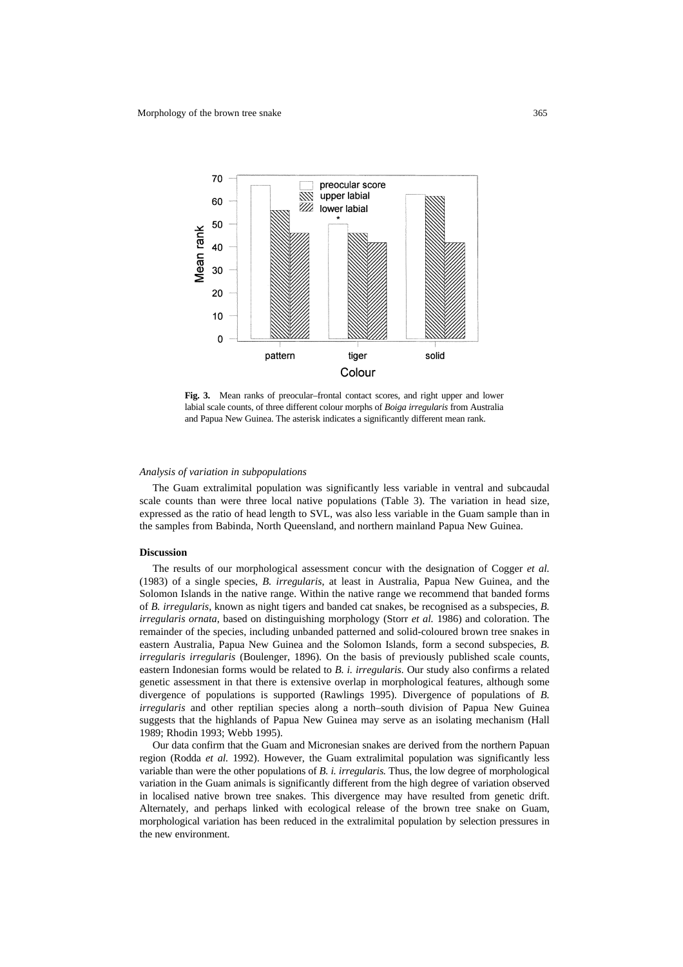

**Fig. 3.** Mean ranks of preocular–frontal contact scores, and right upper and lower labial scale counts, of three different colour morphs of *Boiga irregularis* from Australia and Papua New Guinea. The asterisk indicates a significantly different mean rank.

#### *Analysis of variation in subpopulations*

The Guam extralimital population was significantly less variable in ventral and subcaudal scale counts than were three local native populations (Table 3). The variation in head size, expressed as the ratio of head length to SVL, was also less variable in the Guam sample than in the samples from Babinda, North Queensland, and northern mainland Papua New Guinea.

#### **Discussion**

The results of our morphological assessment concur with the designation of Cogger *et al.* (1983) of a single species, *B. irregularis*, at least in Australia, Papua New Guinea, and the Solomon Islands in the native range. Within the native range we recommend that banded forms of *B. irregularis*, known as night tigers and banded cat snakes, be recognised as a subspecies, *B. irregularis ornata*, based on distinguishing morphology (Storr *et al.* 1986) and coloration. The remainder of the species, including unbanded patterned and solid-coloured brown tree snakes in eastern Australia, Papua New Guinea and the Solomon Islands, form a second subspecies, *B. irregularis irregularis* (Boulenger, 1896). On the basis of previously published scale counts, eastern Indonesian forms would be related to *B. i. irregularis.* Our study also confirms a related genetic assessment in that there is extensive overlap in morphological features, although some divergence of populations is supported (Rawlings 1995). Divergence of populations of *B. irregularis* and other reptilian species along a north–south division of Papua New Guinea suggests that the highlands of Papua New Guinea may serve as an isolating mechanism (Hall 1989; Rhodin 1993; Webb 1995).

Our data confirm that the Guam and Micronesian snakes are derived from the northern Papuan region (Rodda *et al.* 1992). However, the Guam extralimital population was significantly less variable than were the other populations of *B. i. irregularis.* Thus, the low degree of morphological variation in the Guam animals is significantly different from the high degree of variation observed in localised native brown tree snakes. This divergence may have resulted from genetic drift. Alternately, and perhaps linked with ecological release of the brown tree snake on Guam, morphological variation has been reduced in the extralimital population by selection pressures in the new environment.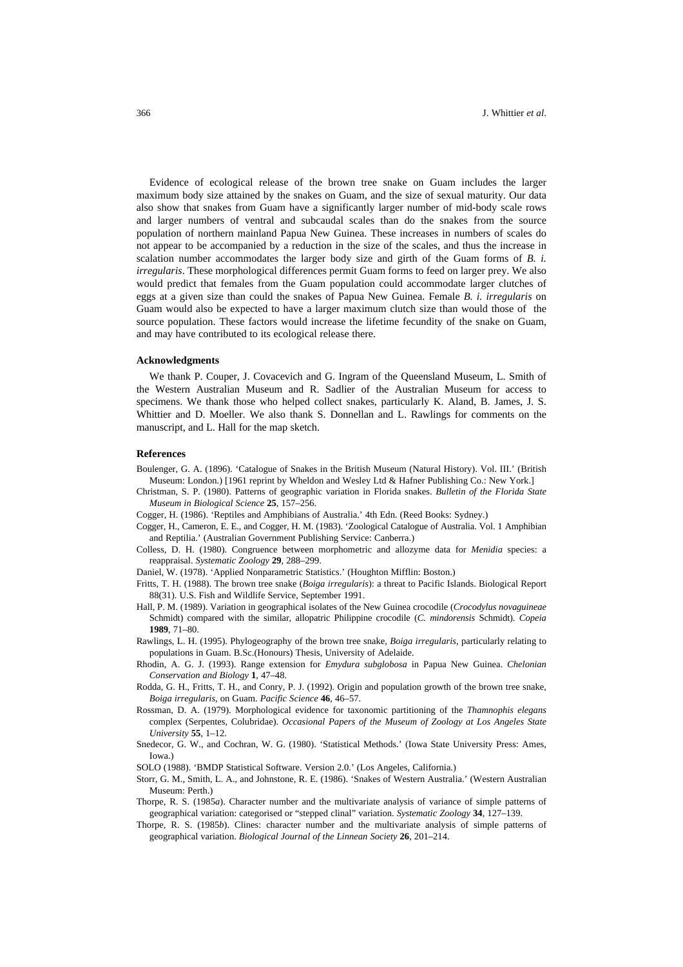Evidence of ecological release of the brown tree snake on Guam includes the larger maximum body size attained by the snakes on Guam, and the size of sexual maturity. Our data also show that snakes from Guam have a significantly larger number of mid-body scale rows and larger numbers of ventral and subcaudal scales than do the snakes from the source population of northern mainland Papua New Guinea. These increases in numbers of scales do not appear to be accompanied by a reduction in the size of the scales, and thus the increase in scalation number accommodates the larger body size and girth of the Guam forms of *B. i. irregularis*. These morphological differences permit Guam forms to feed on larger prey. We also would predict that females from the Guam population could accommodate larger clutches of eggs at a given size than could the snakes of Papua New Guinea. Female *B. i. irregularis* on Guam would also be expected to have a larger maximum clutch size than would those of the source population. These factors would increase the lifetime fecundity of the snake on Guam, and may have contributed to its ecological release there.

#### **Acknowledgments**

We thank P. Couper, J. Covacevich and G. Ingram of the Queensland Museum, L. Smith of the Western Australian Museum and R. Sadlier of the Australian Museum for access to specimens. We thank those who helped collect snakes, particularly K. Aland, B. James, J. S. Whittier and D. Moeller. We also thank S. Donnellan and L. Rawlings for comments on the manuscript, and L. Hall for the map sketch.

#### **References**

- Boulenger, G. A. (1896). 'Catalogue of Snakes in the British Museum (Natural History). Vol. III.' (British Museum: London.) [1961 reprint by Wheldon and Wesley Ltd & Hafner Publishing Co.: New York.]
- Christman, S. P. (1980). Patterns of geographic variation in Florida snakes. *Bulletin of the Florida State Museum in Biological Science* **25**, 157–256.
- Cogger, H. (1986). 'Reptiles and Amphibians of Australia.' 4th Edn. (Reed Books: Sydney.)
- Cogger, H., Cameron, E. E., and Cogger, H. M. (1983). 'Zoological Catalogue of Australia. Vol. 1 Amphibian and Reptilia.' (Australian Government Publishing Service: Canberra.)
- Colless, D. H. (1980). Congruence between morphometric and allozyme data for *Menidia* species: a reappraisal. *Systematic Zoology* **29**, 288–299.
- Daniel, W. (1978). 'Applied Nonparametric Statistics.' (Houghton Mifflin: Boston.)
- Fritts, T. H. (1988). The brown tree snake (*Boiga irregularis*): a threat to Pacific Islands. Biological Report 88(31). U.S. Fish and Wildlife Service, September 1991.
- Hall, P. M. (1989). Variation in geographical isolates of the New Guinea crocodile (*Crocodylus novaguineae* Schmidt) compared with the similar, allopatric Philippine crocodile (*C. mindorensis* Schmidt). *Copeia* **1989**, 71–80.
- Rawlings, L. H. (1995). Phylogeography of the brown tree snake, *Boiga irregularis*, particularly relating to populations in Guam. B.Sc.(Honours) Thesis, University of Adelaide.
- Rhodin, A. G. J. (1993). Range extension for *Emydura subglobosa* in Papua New Guinea. *Chelonian Conservation and Biology* **1**, 47–48.
- Rodda, G. H., Fritts, T. H., and Conry, P. J. (1992). Origin and population growth of the brown tree snake, *Boiga irregularis,* on Guam. *Pacific Science* **46**, 46–57.
- Rossman, D. A. (1979). Morphological evidence for taxonomic partitioning of the *Thamnophis elegans* complex (Serpentes, Colubridae). *Occasional Papers of the Museum of Zoology at Los Angeles State University* **55**, 1–12.
- Snedecor, G. W., and Cochran, W. G. (1980). 'Statistical Methods.' (Iowa State University Press: Ames, Iowa.)
- SOLO (1988). 'BMDP Statistical Software. Version 2.0.' (Los Angeles, California.)
- Storr, G. M., Smith, L. A., and Johnstone, R. E. (1986). 'Snakes of Western Australia.' (Western Australian Museum: Perth.)
- Thorpe, R. S. (1985*a*). Character number and the multivariate analysis of variance of simple patterns of geographical variation: categorised or "stepped clinal" variation. *Systematic Zoology* **34**, 127–139.
- Thorpe, R. S. (1985*b*). Clines: character number and the multivariate analysis of simple patterns of geographical variation. *Biological Journal of the Linnean Society* **26**, 201–214.